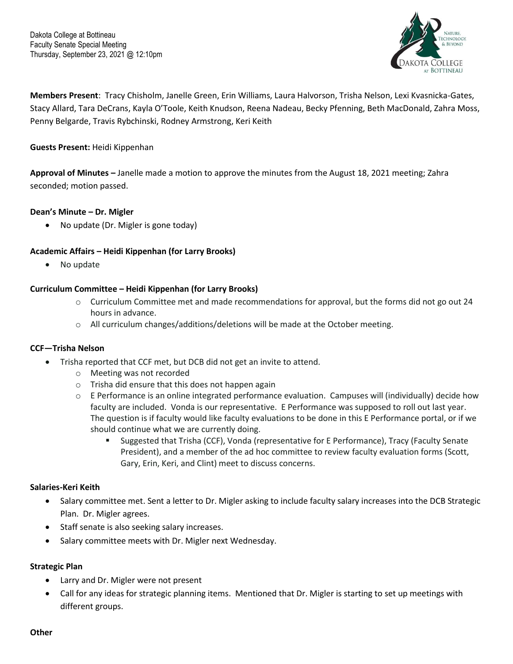

**Members Present**: Tracy Chisholm, Janelle Green, Erin Williams, Laura Halvorson, Trisha Nelson, Lexi Kvasnicka-Gates, Stacy Allard, Tara DeCrans, Kayla O'Toole, Keith Knudson, Reena Nadeau, Becky Pfenning, Beth MacDonald, Zahra Moss, Penny Belgarde, Travis Rybchinski, Rodney Armstrong, Keri Keith

## **Guests Present:** Heidi Kippenhan

**Approval of Minutes –** Janelle made a motion to approve the minutes from the August 18, 2021 meeting; Zahra seconded; motion passed.

### **Dean's Minute – Dr. Migler**

• No update (Dr. Migler is gone today)

# **Academic Affairs – Heidi Kippenhan (for Larry Brooks)**

• No update

# **Curriculum Committee – Heidi Kippenhan (for Larry Brooks)**

- o Curriculum Committee met and made recommendations for approval, but the forms did not go out 24 hours in advance.
- $\circ$  All curriculum changes/additions/deletions will be made at the October meeting.

### **CCF—Trisha Nelson**

- Trisha reported that CCF met, but DCB did not get an invite to attend.
	- o Meeting was not recorded
	- o Trisha did ensure that this does not happen again
	- $\circ$  E Performance is an online integrated performance evaluation. Campuses will (individually) decide how faculty are included. Vonda is our representative. E Performance was supposed to roll out last year. The question is if faculty would like faculty evaluations to be done in this E Performance portal, or if we should continue what we are currently doing.
		- Suggested that Trisha (CCF), Vonda (representative for E Performance), Tracy (Faculty Senate President), and a member of the ad hoc committee to review faculty evaluation forms (Scott, Gary, Erin, Keri, and Clint) meet to discuss concerns.

### **Salaries-Keri Keith**

- Salary committee met. Sent a letter to Dr. Migler asking to include faculty salary increases into the DCB Strategic Plan. Dr. Migler agrees.
- Staff senate is also seeking salary increases.
- Salary committee meets with Dr. Migler next Wednesday.

### **Strategic Plan**

- Larry and Dr. Migler were not present
- Call for any ideas for strategic planning items. Mentioned that Dr. Migler is starting to set up meetings with different groups.